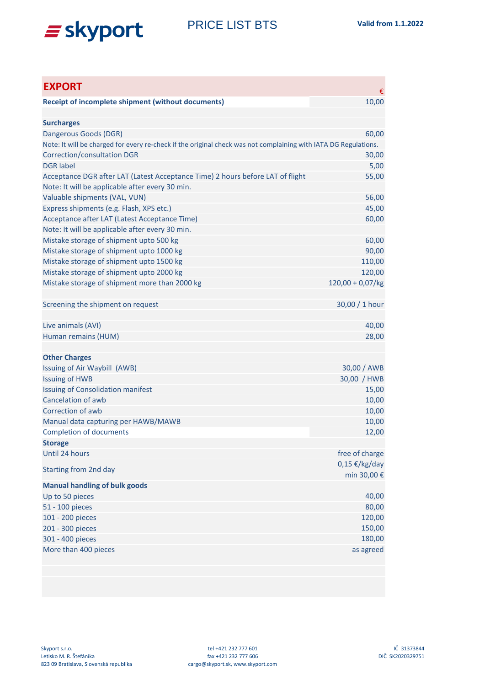

| <b>EXPORT</b>                                                                                                   | €                   |
|-----------------------------------------------------------------------------------------------------------------|---------------------|
| <b>Receipt of incomplete shipment (without documents)</b>                                                       | 10,00               |
|                                                                                                                 |                     |
| <b>Surcharges</b>                                                                                               |                     |
| Dangerous Goods (DGR)                                                                                           | 60,00               |
| Note: It will be charged for every re-check if the original check was not complaining with IATA DG Regulations. |                     |
| <b>Correction/consultation DGR</b>                                                                              | 30,00               |
| <b>DGR</b> label                                                                                                | 5,00                |
| Acceptance DGR after LAT (Latest Acceptance Time) 2 hours before LAT of flight                                  | 55,00               |
| Note: It will be applicable after every 30 min.                                                                 |                     |
| Valuable shipments (VAL, VUN)                                                                                   | 56,00               |
| Express shipments (e.g. Flash, XPS etc.)                                                                        | 45,00               |
| Acceptance after LAT (Latest Acceptance Time)<br>Note: It will be applicable after every 30 min.                | 60,00               |
| Mistake storage of shipment upto 500 kg                                                                         | 60,00               |
| Mistake storage of shipment upto 1000 kg                                                                        | 90,00               |
| Mistake storage of shipment upto 1500 kg                                                                        | 110,00              |
| Mistake storage of shipment upto 2000 kg                                                                        | 120,00              |
| Mistake storage of shipment more than 2000 kg                                                                   | $120,00 + 0,07/kg$  |
|                                                                                                                 |                     |
| Screening the shipment on request                                                                               | 30,00 / 1 hour      |
|                                                                                                                 |                     |
| Live animals (AVI)                                                                                              | 40,00               |
| Human remains (HUM)                                                                                             | 28,00               |
|                                                                                                                 |                     |
| <b>Other Charges</b>                                                                                            |                     |
| Issuing of Air Waybill (AWB)                                                                                    | 30,00 / AWB         |
| <b>Issuing of HWB</b>                                                                                           | 30,00 / HWB         |
| <b>Issuing of Consolidation manifest</b>                                                                        | 15,00               |
| Cancelation of awb                                                                                              | 10,00               |
| Correction of awb                                                                                               | 10,00               |
| Manual data capturing per HAWB/MAWB                                                                             | 10,00               |
| <b>Completion of documents</b>                                                                                  | 12,00               |
| <b>Storage</b>                                                                                                  |                     |
| Until 24 hours                                                                                                  | free of charge      |
| <b>Starting from 2nd day</b>                                                                                    | $0,15 \in$ /kg/day  |
|                                                                                                                 | min 30,00 €         |
| <b>Manual handling of bulk goods</b>                                                                            |                     |
| Up to 50 pieces                                                                                                 | 40,00               |
| 51 - 100 pieces                                                                                                 | 80,00               |
| 101 - 200 pieces                                                                                                | 120,00              |
| 201 - 300 pieces                                                                                                | 150,00              |
| 301 - 400 pieces<br>More than 400 pieces                                                                        | 180,00<br>as agreed |
|                                                                                                                 |                     |
|                                                                                                                 |                     |
|                                                                                                                 |                     |
|                                                                                                                 |                     |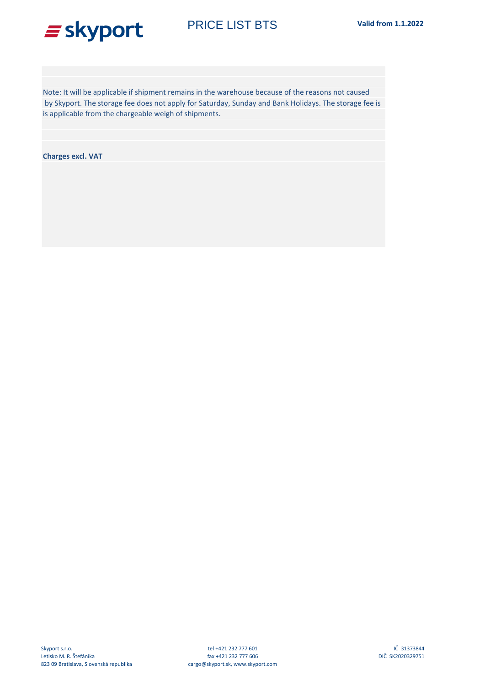## $\equiv$  skyport

is applicable from the chargeable weigh of shipments. Note: It will be applicable if shipment remains in the warehouse because of the reasons not caused by Skyport. The storage fee does not apply for Saturday, Sunday and Bank Holidays. The storage fee is

**Charges excl. VAT**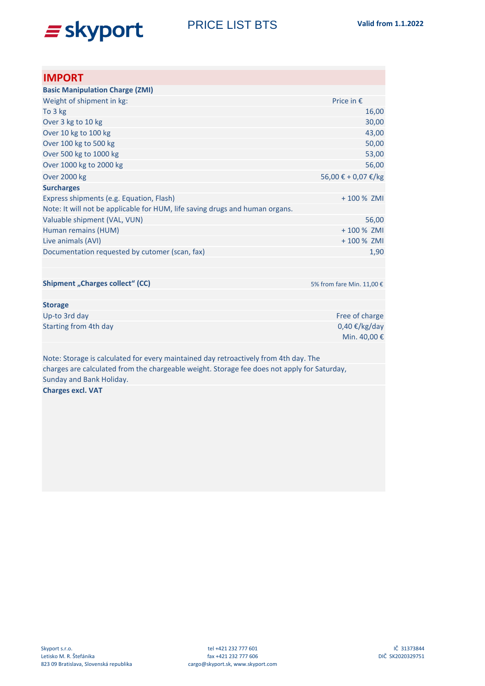

PRICE LIST BTS **Valid from 1.1.2022**

| <b>IMPORT</b>                                                                               |                                       |
|---------------------------------------------------------------------------------------------|---------------------------------------|
| <b>Basic Manipulation Charge (ZMI)</b>                                                      |                                       |
| Weight of shipment in kg:                                                                   | Price in $E$                          |
| To 3 kg                                                                                     | 16,00                                 |
| Over 3 kg to 10 kg                                                                          | 30,00                                 |
| Over 10 kg to 100 kg                                                                        | 43,00                                 |
| Over 100 kg to 500 kg                                                                       | 50,00                                 |
| Over 500 kg to 1000 kg                                                                      | 53,00                                 |
| Over 1000 kg to 2000 kg                                                                     | 56,00                                 |
| <b>Over 2000 kg</b>                                                                         | 56,00 € + 0,07 €/kg                   |
| <b>Surcharges</b>                                                                           |                                       |
| Express shipments (e.g. Equation, Flash)                                                    | +100 % ZMI                            |
| Note: It will not be applicable for HUM, life saving drugs and human organs.                |                                       |
| Valuable shipment (VAL, VUN)                                                                | 56,00                                 |
| Human remains (HUM)                                                                         | +100 % ZMI                            |
| Live animals (AVI)                                                                          | +100 % ZMI                            |
| Documentation requested by cutomer (scan, fax)                                              | 1,90                                  |
|                                                                                             |                                       |
| <b>Shipment "Charges collect" (CC)</b>                                                      | 5% from fare Min. 11,00 €             |
| <b>Storage</b>                                                                              |                                       |
| Up-to 3rd day                                                                               | Free of charge                        |
| Starting from 4th day                                                                       | $0,40 \notin$ /kg/day<br>Min. 40,00 € |
| Note: Storage is calculated for every maintained day retroactively from 4th day. The        |                                       |
| charges are calculated from the chargeable weight. Storage fee does not apply for Saturday, |                                       |
| Sunday and Bank Holiday.                                                                    |                                       |
| <b>Charges excl. VAT</b>                                                                    |                                       |